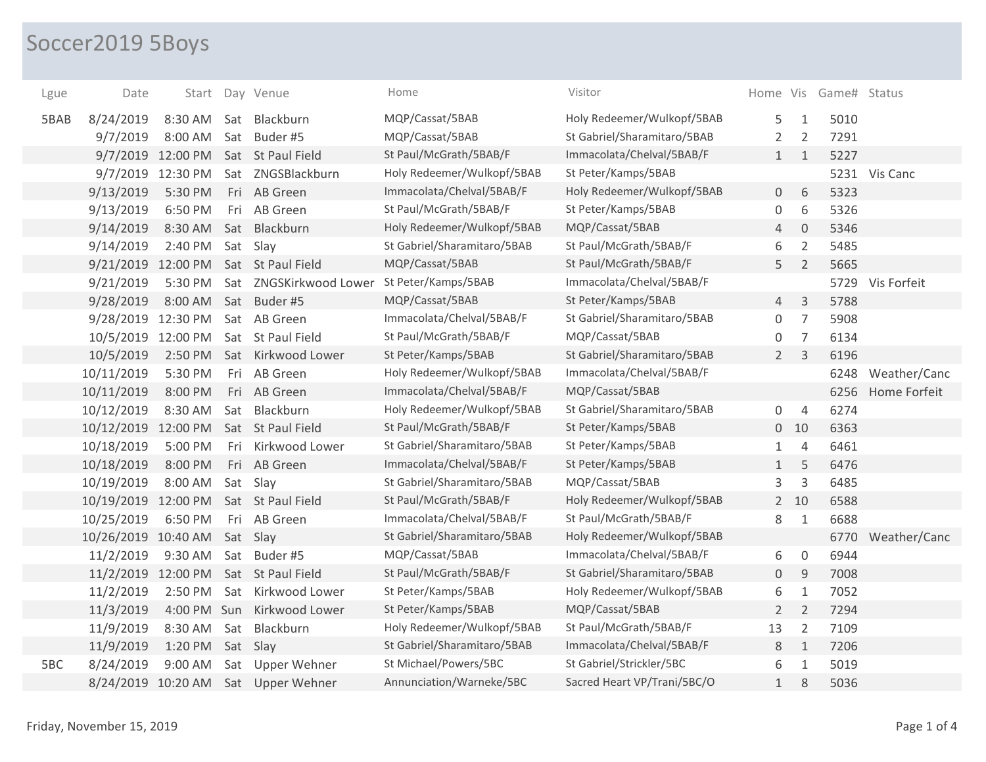## Soccer2019 5Boys

| Lgue | Date                | Start             |     | Day Venue              | Home                        | Visitor                     |                |                | Home Vis Game# Status |                   |
|------|---------------------|-------------------|-----|------------------------|-----------------------------|-----------------------------|----------------|----------------|-----------------------|-------------------|
| 5BAB | 8/24/2019           | 8:30 AM           |     | Sat Blackburn          | MQP/Cassat/5BAB             | Holy Redeemer/Wulkopf/5BAB  | 5              | 1              | 5010                  |                   |
|      | 9/7/2019            | 8:00 AM           |     | Sat Buder #5           | MQP/Cassat/5BAB             | St Gabriel/Sharamitaro/5BAB | $\overline{2}$ | 2              | 7291                  |                   |
|      |                     | 9/7/2019 12:00 PM |     | Sat St Paul Field      | St Paul/McGrath/5BAB/F      | Immacolata/Chelval/5BAB/F   | 1              | $\mathbf{1}$   | 5227                  |                   |
|      |                     | 9/7/2019 12:30 PM |     | Sat ZNGSBlackburn      | Holy Redeemer/Wulkopf/5BAB  | St Peter/Kamps/5BAB         |                |                |                       | 5231 Vis Canc     |
|      | 9/13/2019           | 5:30 PM           |     | Fri AB Green           | Immacolata/Chelval/5BAB/F   | Holy Redeemer/Wulkopf/5BAB  | $\overline{0}$ | 6              | 5323                  |                   |
|      | 9/13/2019           | 6:50 PM           |     | Fri AB Green           | St Paul/McGrath/5BAB/F      | St Peter/Kamps/5BAB         | 0              | 6              | 5326                  |                   |
|      | 9/14/2019           | 8:30 AM           |     | Sat Blackburn          | Holy Redeemer/Wulkopf/5BAB  | MQP/Cassat/5BAB             | 4              | $\mathbf 0$    | 5346                  |                   |
|      | 9/14/2019           | 2:40 PM           |     | Sat Slay               | St Gabriel/Sharamitaro/5BAB | St Paul/McGrath/5BAB/F      | 6              | $\overline{2}$ | 5485                  |                   |
|      | 9/21/2019 12:00 PM  |                   |     | Sat St Paul Field      | MQP/Cassat/5BAB             | St Paul/McGrath/5BAB/F      | 5              | $\overline{2}$ | 5665                  |                   |
|      | 9/21/2019           | 5:30 PM           |     | Sat ZNGSKirkwood Lower | St Peter/Kamps/5BAB         | Immacolata/Chelval/5BAB/F   |                |                |                       | 5729 Vis Forfeit  |
|      | 9/28/2019           | 8:00 AM           |     | Sat Buder #5           | MQP/Cassat/5BAB             | St Peter/Kamps/5BAB         | $\overline{4}$ | $\mathsf{3}$   | 5788                  |                   |
|      | 9/28/2019 12:30 PM  |                   |     | Sat AB Green           | Immacolata/Chelval/5BAB/F   | St Gabriel/Sharamitaro/5BAB | 0              | $\overline{7}$ | 5908                  |                   |
|      | 10/5/2019 12:00 PM  |                   |     | Sat St Paul Field      | St Paul/McGrath/5BAB/F      | MQP/Cassat/5BAB             | 0              | $\overline{7}$ | 6134                  |                   |
|      | 10/5/2019           | 2:50 PM           |     | Sat Kirkwood Lower     | St Peter/Kamps/5BAB         | St Gabriel/Sharamitaro/5BAB | $\overline{2}$ | 3              | 6196                  |                   |
|      | 10/11/2019          | 5:30 PM           | Fri | AB Green               | Holy Redeemer/Wulkopf/5BAB  | Immacolata/Chelval/5BAB/F   |                |                |                       | 6248 Weather/Canc |
|      | 10/11/2019          | 8:00 PM           |     | Fri AB Green           | Immacolata/Chelval/5BAB/F   | MQP/Cassat/5BAB             |                |                | 6256                  | Home Forfeit      |
|      | 10/12/2019          | 8:30 AM           |     | Sat Blackburn          | Holy Redeemer/Wulkopf/5BAB  | St Gabriel/Sharamitaro/5BAB | 0              | $\overline{4}$ | 6274                  |                   |
|      | 10/12/2019 12:00 PM |                   |     | Sat St Paul Field      | St Paul/McGrath/5BAB/F      | St Peter/Kamps/5BAB         |                | $0$ 10         | 6363                  |                   |
|      | 10/18/2019          | 5:00 PM           | Fri | Kirkwood Lower         | St Gabriel/Sharamitaro/5BAB | St Peter/Kamps/5BAB         | $\mathbf{1}$   | $\overline{4}$ | 6461                  |                   |
|      | 10/18/2019          | 8:00 PM           |     | Fri AB Green           | Immacolata/Chelval/5BAB/F   | St Peter/Kamps/5BAB         | $\mathbf{1}$   | 5              | 6476                  |                   |
|      | 10/19/2019          | 8:00 AM           |     | Sat Slay               | St Gabriel/Sharamitaro/5BAB | MQP/Cassat/5BAB             | 3              | $\mathbf{3}$   | 6485                  |                   |
|      | 10/19/2019 12:00 PM |                   |     | Sat St Paul Field      | St Paul/McGrath/5BAB/F      | Holy Redeemer/Wulkopf/5BAB  |                | 2 10           | 6588                  |                   |
|      | 10/25/2019          | 6:50 PM           | Fri | AB Green               | Immacolata/Chelval/5BAB/F   | St Paul/McGrath/5BAB/F      | 8              | $\mathbf{1}$   | 6688                  |                   |
|      | 10/26/2019 10:40 AM |                   |     | Sat Slay               | St Gabriel/Sharamitaro/5BAB | Holy Redeemer/Wulkopf/5BAB  |                |                |                       | 6770 Weather/Canc |
|      | 11/2/2019           | 9:30 AM           |     | Sat Buder#5            | MQP/Cassat/5BAB             | Immacolata/Chelval/5BAB/F   | 6              | $\mathbf 0$    | 6944                  |                   |
|      | 11/2/2019 12:00 PM  |                   |     | Sat St Paul Field      | St Paul/McGrath/5BAB/F      | St Gabriel/Sharamitaro/5BAB | 0              | 9              | 7008                  |                   |
|      | 11/2/2019           | 2:50 PM           | Sat | Kirkwood Lower         | St Peter/Kamps/5BAB         | Holy Redeemer/Wulkopf/5BAB  | 6              | $\mathbf{1}$   | 7052                  |                   |
|      | 11/3/2019           | 4:00 PM Sun       |     | Kirkwood Lower         | St Peter/Kamps/5BAB         | MQP/Cassat/5BAB             | $\overline{2}$ | $\overline{2}$ | 7294                  |                   |
|      | 11/9/2019           | 8:30 AM           |     | Sat Blackburn          | Holy Redeemer/Wulkopf/5BAB  | St Paul/McGrath/5BAB/F      | 13             | $\overline{2}$ | 7109                  |                   |
|      | 11/9/2019           | 1:20 PM           |     | Sat Slay               | St Gabriel/Sharamitaro/5BAB | Immacolata/Chelval/5BAB/F   | 8              | $\mathbf{1}$   | 7206                  |                   |
| 5BC  | 8/24/2019           | 9:00 AM           | Sat | Upper Wehner           | St Michael/Powers/5BC       | St Gabriel/Strickler/5BC    | 6              | 1              | 5019                  |                   |
|      | 8/24/2019 10:20 AM  |                   |     | Sat Upper Wehner       | Annunciation/Warneke/5BC    | Sacred Heart VP/Trani/5BC/O | $\mathbf{1}$   | 8              | 5036                  |                   |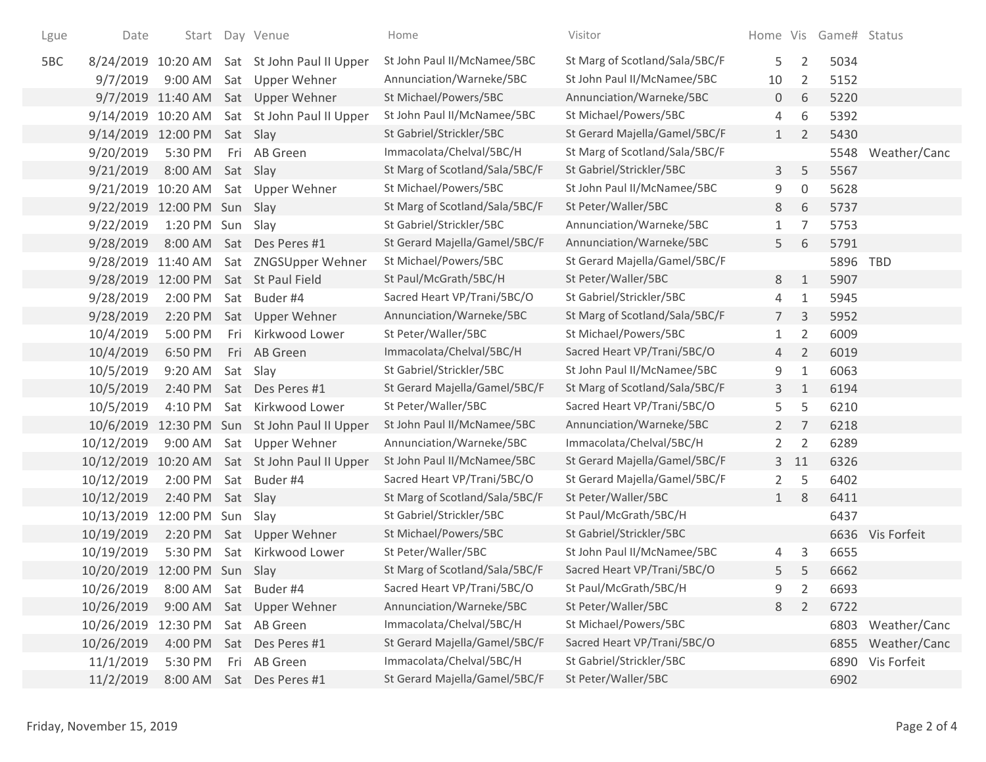| Lgue | Date                         |                  |     | Start Day Venue                              | Home                           | Visitor                        |                |                     | Home Vis Game# Status |                   |
|------|------------------------------|------------------|-----|----------------------------------------------|--------------------------------|--------------------------------|----------------|---------------------|-----------------------|-------------------|
| 5BC  |                              |                  |     | 8/24/2019 10:20 AM Sat St John Paul II Upper | St John Paul II/McNamee/5BC    | St Marg of Scotland/Sala/5BC/F | 5              | $\overline{2}$      | 5034                  |                   |
|      | 9/7/2019                     | 9:00 AM          |     | Sat Upper Wehner                             | Annunciation/Warneke/5BC       | St John Paul II/McNamee/5BC    | 10             | 2                   | 5152                  |                   |
|      |                              |                  |     | 9/7/2019 11:40 AM Sat Upper Wehner           | St Michael/Powers/5BC          | Annunciation/Warneke/5BC       | $\overline{0}$ | 6                   | 5220                  |                   |
|      |                              |                  |     | 9/14/2019 10:20 AM Sat St John Paul II Upper | St John Paul II/McNamee/5BC    | St Michael/Powers/5BC          | 4              | 6                   | 5392                  |                   |
|      | 9/14/2019 12:00 PM Sat Slay  |                  |     |                                              | St Gabriel/Strickler/5BC       | St Gerard Majella/Gamel/5BC/F  | 1              | $\overline{2}$      | 5430                  |                   |
|      | 9/20/2019                    | 5:30 PM          |     | Fri AB Green                                 | Immacolata/Chelval/5BC/H       | St Marg of Scotland/Sala/5BC/F |                |                     |                       | 5548 Weather/Canc |
|      | 9/21/2019                    | 8:00 AM          |     | Sat Slay                                     | St Marg of Scotland/Sala/5BC/F | St Gabriel/Strickler/5BC       | 3              | 5                   | 5567                  |                   |
|      | 9/21/2019 10:20 AM           |                  |     | Sat Upper Wehner                             | St Michael/Powers/5BC          | St John Paul II/McNamee/5BC    | 9              | $\mathsf{O}\xspace$ | 5628                  |                   |
|      | 9/22/2019 12:00 PM Sun Slay  |                  |     |                                              | St Marg of Scotland/Sala/5BC/F | St Peter/Waller/5BC            | 8              | 6                   | 5737                  |                   |
|      | 9/22/2019                    | 1:20 PM Sun      |     | Slay                                         | St Gabriel/Strickler/5BC       | Annunciation/Warneke/5BC       | $\mathbf{1}$   | 7                   | 5753                  |                   |
|      | 9/28/2019                    | 8:00 AM          |     | Sat Des Peres #1                             | St Gerard Majella/Gamel/5BC/F  | Annunciation/Warneke/5BC       | 5              | 6                   | 5791                  |                   |
|      | 9/28/2019 11:40 AM           |                  |     | Sat ZNGSUpper Wehner                         | St Michael/Powers/5BC          | St Gerard Majella/Gamel/5BC/F  |                |                     | 5896 TBD              |                   |
|      | 9/28/2019 12:00 PM           |                  |     | Sat St Paul Field                            | St Paul/McGrath/5BC/H          | St Peter/Waller/5BC            | 8              | $\mathbf{1}$        | 5907                  |                   |
|      | 9/28/2019                    | 2:00 PM          | Sat | Buder #4                                     | Sacred Heart VP/Trani/5BC/O    | St Gabriel/Strickler/5BC       | 4              | $\mathbf{1}$        | 5945                  |                   |
|      | 9/28/2019                    | 2:20 PM          |     | Sat Upper Wehner                             | Annunciation/Warneke/5BC       | St Marg of Scotland/Sala/5BC/F | $7^{\circ}$    | 3                   | 5952                  |                   |
|      | 10/4/2019                    | 5:00 PM          | Fri | Kirkwood Lower                               | St Peter/Waller/5BC            | St Michael/Powers/5BC          | $\mathbf{1}$   | 2                   | 6009                  |                   |
|      | 10/4/2019                    | 6:50 PM          |     | Fri AB Green                                 | Immacolata/Chelval/5BC/H       | Sacred Heart VP/Trani/5BC/O    | $\overline{4}$ | $\overline{2}$      | 6019                  |                   |
|      | 10/5/2019                    | 9:20 AM          |     | Sat Slay                                     | St Gabriel/Strickler/5BC       | St John Paul II/McNamee/5BC    | 9              | $1\,$               | 6063                  |                   |
|      | 10/5/2019                    | 2:40 PM          |     | Sat Des Peres #1                             | St Gerard Majella/Gamel/5BC/F  | St Marg of Scotland/Sala/5BC/F | 3              | $\mathbf{1}$        | 6194                  |                   |
|      | 10/5/2019                    | 4:10 PM          |     | Sat Kirkwood Lower                           | St Peter/Waller/5BC            | Sacred Heart VP/Trani/5BC/O    | 5              | 5                   | 6210                  |                   |
|      |                              |                  |     | 10/6/2019 12:30 PM Sun St John Paul II Upper | St John Paul II/McNamee/5BC    | Annunciation/Warneke/5BC       | $2^{\circ}$    | 7                   | 6218                  |                   |
|      | 10/12/2019                   | 9:00 AM          |     | Sat Upper Wehner                             | Annunciation/Warneke/5BC       | Immacolata/Chelval/5BC/H       | $\overline{2}$ | $\overline{2}$      | 6289                  |                   |
|      | 10/12/2019                   |                  |     | 10:20 AM Sat St John Paul II Upper           | St John Paul II/McNamee/5BC    | St Gerard Majella/Gamel/5BC/F  |                | 3 <sub>11</sub>     | 6326                  |                   |
|      | 10/12/2019                   | 2:00 PM          |     | Sat Buder #4                                 | Sacred Heart VP/Trani/5BC/O    | St Gerard Majella/Gamel/5BC/F  | $\overline{2}$ | 5                   | 6402                  |                   |
|      | 10/12/2019                   | 2:40 PM Sat Slay |     |                                              | St Marg of Scotland/Sala/5BC/F | St Peter/Waller/5BC            | 1              | 8                   | 6411                  |                   |
|      | 10/13/2019                   | 12:00 PM Sun     |     | Slay                                         | St Gabriel/Strickler/5BC       | St Paul/McGrath/5BC/H          |                |                     | 6437                  |                   |
|      | 10/19/2019                   |                  |     | 2:20 PM Sat Upper Wehner                     | St Michael/Powers/5BC          | St Gabriel/Strickler/5BC       |                |                     |                       | 6636 Vis Forfeit  |
|      | 10/19/2019                   | 5:30 PM          | Sat | Kirkwood Lower                               | St Peter/Waller/5BC            | St John Paul II/McNamee/5BC    | 4              | 3                   | 6655                  |                   |
|      | 10/20/2019 12:00 PM Sun Slay |                  |     |                                              | St Marg of Scotland/Sala/5BC/F | Sacred Heart VP/Trani/5BC/O    | 5.             | 5                   | 6662                  |                   |
|      | 10/26/2019                   | 8:00 AM          | Sat | Buder #4                                     | Sacred Heart VP/Trani/5BC/O    | St Paul/McGrath/5BC/H          | 9              | $\overline{2}$      | 6693                  |                   |
|      | 10/26/2019                   | 9:00 AM          |     | Sat Upper Wehner                             | Annunciation/Warneke/5BC       | St Peter/Waller/5BC            | 8              | $\overline{2}$      | 6722                  |                   |
|      | 10/26/2019                   | 12:30 PM         |     | Sat AB Green                                 | Immacolata/Chelval/5BC/H       | St Michael/Powers/5BC          |                |                     | 6803                  | Weather/Canc      |
|      | 10/26/2019                   | 4:00 PM          |     | Sat Des Peres #1                             | St Gerard Majella/Gamel/5BC/F  | Sacred Heart VP/Trani/5BC/O    |                |                     | 6855                  | Weather/Canc      |
|      | 11/1/2019                    | 5:30 PM          |     | Fri AB Green                                 | Immacolata/Chelval/5BC/H       | St Gabriel/Strickler/5BC       |                |                     | 6890                  | Vis Forfeit       |
|      | 11/2/2019                    | 8:00 AM          |     | Sat Des Peres #1                             | St Gerard Majella/Gamel/5BC/F  | St Peter/Waller/5BC            |                |                     | 6902                  |                   |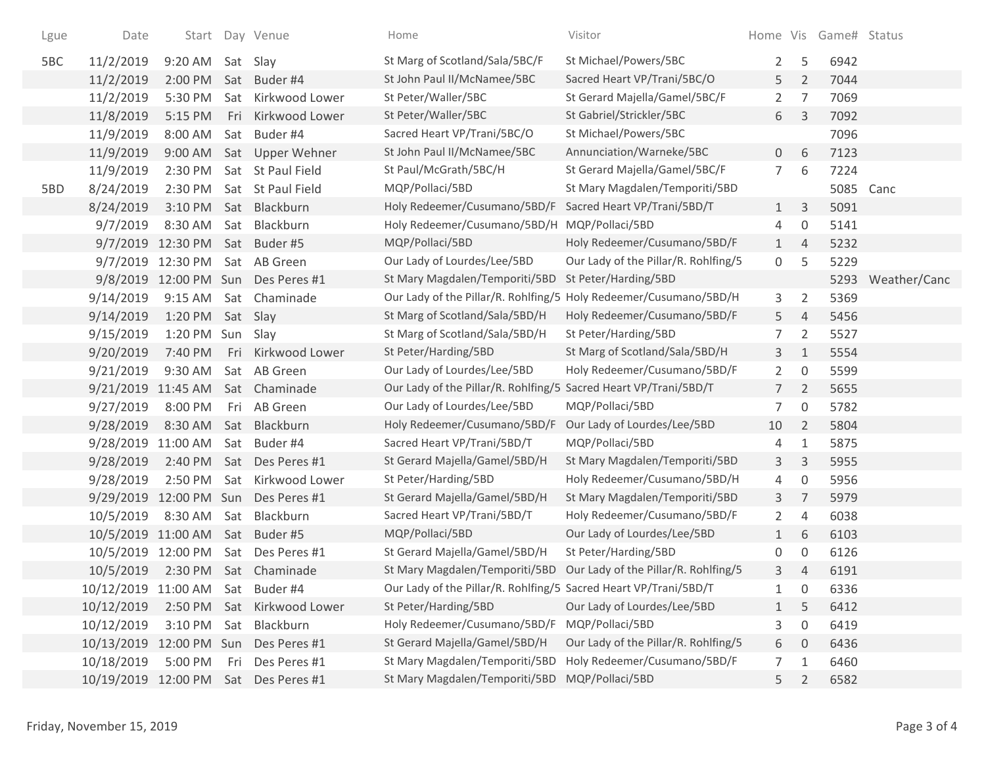| Lgue | Date                             | Start                 |          | Day Venue                  | Home                                                             | Visitor                                                           | Home Vis       |                     | Game# Status |              |
|------|----------------------------------|-----------------------|----------|----------------------------|------------------------------------------------------------------|-------------------------------------------------------------------|----------------|---------------------|--------------|--------------|
| 5BC  | 11/2/2019                        | 9:20 AM               |          | Sat Slay                   | St Marg of Scotland/Sala/5BC/F                                   | St Michael/Powers/5BC                                             | $\overline{2}$ | 5                   | 6942         |              |
|      | 11/2/2019                        | 2:00 PM               |          | Sat Buder #4               | St John Paul II/McNamee/5BC                                      | Sacred Heart VP/Trani/5BC/O                                       | 5              | $\overline{2}$      | 7044         |              |
|      | 11/2/2019                        | 5:30 PM               | Sat      | Kirkwood Lower             | St Peter/Waller/5BC                                              | St Gerard Majella/Gamel/5BC/F                                     | $\overline{2}$ | 7                   | 7069         |              |
|      | 11/8/2019                        | 5:15 PM               | Fri      | Kirkwood Lower             | St Peter/Waller/5BC                                              | St Gabriel/Strickler/5BC                                          | 6              | $\mathsf{3}$        | 7092         |              |
|      | 11/9/2019                        | 8:00 AM               | Sat      | Buder #4                   | Sacred Heart VP/Trani/5BC/O                                      | St Michael/Powers/5BC                                             |                |                     | 7096         |              |
|      | 11/9/2019                        | 9:00 AM               | Sat      | Upper Wehner               | St John Paul II/McNamee/5BC                                      | Annunciation/Warneke/5BC                                          | 0              | 6                   | 7123         |              |
|      | 11/9/2019                        | 2:30 PM               |          | Sat St Paul Field          | St Paul/McGrath/5BC/H                                            | St Gerard Majella/Gamel/5BC/F                                     | $\overline{7}$ | 6                   | 7224         |              |
| 5BD  | 8/24/2019                        | 2:30 PM               |          | Sat St Paul Field          | MQP/Pollaci/5BD                                                  | St Mary Magdalen/Temporiti/5BD                                    |                |                     | 5085         | Canc         |
|      | 8/24/2019                        | 3:10 PM               |          | Sat Blackburn              | Holy Redeemer/Cusumano/5BD/F                                     | Sacred Heart VP/Trani/5BD/T                                       | $\mathbf{1}$   | $\mathsf{3}$        | 5091         |              |
|      | 9/7/2019                         | 8:30 AM               | Sat      | Blackburn                  | Holy Redeemer/Cusumano/5BD/H                                     | MQP/Pollaci/5BD                                                   | 4              | 0                   | 5141         |              |
|      | 9/7/2019                         | 12:30 PM              |          | Sat Buder#5                | MQP/Pollaci/5BD                                                  | Holy Redeemer/Cusumano/5BD/F                                      | $\mathbf{1}$   | $\overline{4}$      | 5232         |              |
|      |                                  | 9/7/2019 12:30 PM     | Sat      | AB Green                   | Our Lady of Lourdes/Lee/5BD                                      | Our Lady of the Pillar/R. Rohlfing/5                              | 0              | 5                   | 5229         |              |
|      |                                  | 9/8/2019 12:00 PM Sun |          | Des Peres #1               | St Mary Magdalen/Temporiti/5BD                                   | St Peter/Harding/5BD                                              |                |                     | 5293         | Weather/Canc |
|      | 9/14/2019                        | 9:15 AM               | Sat      | Chaminade                  |                                                                  | Our Lady of the Pillar/R. Rohlfing/5 Holy Redeemer/Cusumano/5BD/H | 3              | $\overline{2}$      | 5369         |              |
|      | 9/14/2019                        | 1:20 PM               |          | Sat Slay                   | St Marg of Scotland/Sala/5BD/H                                   | Holy Redeemer/Cusumano/5BD/F                                      | 5              | 4                   | 5456         |              |
|      | 9/15/2019                        | 1:20 PM               | Sun Slay |                            | St Marg of Scotland/Sala/5BD/H                                   | St Peter/Harding/5BD                                              | 7              | $\overline{2}$      | 5527         |              |
|      | 9/20/2019                        | 7:40 PM               | Fri      | Kirkwood Lower             | St Peter/Harding/5BD                                             | St Marg of Scotland/Sala/5BD/H                                    | 3              | $\mathbf{1}$        | 5554         |              |
|      | 9/21/2019                        | 9:30 AM               |          | Sat AB Green               | Our Lady of Lourdes/Lee/5BD                                      | Holy Redeemer/Cusumano/5BD/F                                      | $\overline{2}$ | $\boldsymbol{0}$    | 5599         |              |
|      | 9/21/2019 11:45 AM               |                       | Sat      | Chaminade                  | Our Lady of the Pillar/R. Rohlfing/5 Sacred Heart VP/Trani/5BD/T |                                                                   | $\overline{7}$ | $\overline{2}$      | 5655         |              |
|      | 9/27/2019                        | 8:00 PM               | Fri      | AB Green                   | Our Lady of Lourdes/Lee/5BD                                      | MQP/Pollaci/5BD                                                   | 7              | $\mathsf{O}\xspace$ | 5782         |              |
|      | 9/28/2019                        | 8:30 AM               | Sat      | Blackburn                  | Holy Redeemer/Cusumano/5BD/F                                     | Our Lady of Lourdes/Lee/5BD                                       | 10             | $\overline{2}$      | 5804         |              |
|      | 9/28/2019 11:00 AM               |                       | Sat      | Buder #4                   | Sacred Heart VP/Trani/5BD/T                                      | MQP/Pollaci/5BD                                                   | 4              | $\mathbf{1}$        | 5875         |              |
|      | 9/28/2019                        | 2:40 PM               | Sat      | Des Peres #1               | St Gerard Majella/Gamel/5BD/H                                    | St Mary Magdalen/Temporiti/5BD                                    | 3              | $\mathsf{3}$        | 5955         |              |
|      | 9/28/2019                        | 2:50 PM               | Sat      | Kirkwood Lower             | St Peter/Harding/5BD                                             | Holy Redeemer/Cusumano/5BD/H                                      | 4              | $\boldsymbol{0}$    | 5956         |              |
|      | 9/29/2019                        | 12:00 PM Sun          |          | Des Peres #1               | St Gerard Majella/Gamel/5BD/H                                    | St Mary Magdalen/Temporiti/5BD                                    | 3              | $\overline{7}$      | 5979         |              |
|      | 10/5/2019                        | 8:30 AM               | Sat      | Blackburn                  | Sacred Heart VP/Trani/5BD/T                                      | Holy Redeemer/Cusumano/5BD/F                                      | $\overline{2}$ | 4                   | 6038         |              |
|      | 10/5/2019 11:00 AM               |                       | Sat      | Buder #5                   | MQP/Pollaci/5BD                                                  | Our Lady of Lourdes/Lee/5BD                                       | $\mathbf{1}$   | 6                   | 6103         |              |
|      | 10/5/2019 12:00 PM               |                       | Sat      | Des Peres #1               | St Gerard Majella/Gamel/5BD/H                                    | St Peter/Harding/5BD                                              | 0              | 0                   | 6126         |              |
|      | 10/5/2019                        | 2:30 PM               |          | Sat Chaminade              | St Mary Magdalen/Temporiti/5BD                                   | Our Lady of the Pillar/R. Rohlfing/5                              | 3              | $\overline{4}$      | 6191         |              |
|      | 10/12/2019 11:00 AM Sat Buder #4 |                       |          |                            | Our Lady of the Pillar/R. Rohlfing/5 Sacred Heart VP/Trani/5BD/T |                                                                   |                | $\mathbf 0$         | 6336         |              |
|      | 10/12/2019                       |                       |          | 2:50 PM Sat Kirkwood Lower | St Peter/Harding/5BD                                             | Our Lady of Lourdes/Lee/5BD                                       | $\mathbf{1}$   | 5                   | 6412         |              |
|      | 10/12/2019                       | 3:10 PM               |          | Sat Blackburn              | Holy Redeemer/Cusumano/5BD/F                                     | MQP/Pollaci/5BD                                                   | 3              | $\boldsymbol{0}$    | 6419         |              |
|      | 10/13/2019 12:00 PM Sun          |                       |          | Des Peres #1               | St Gerard Majella/Gamel/5BD/H                                    | Our Lady of the Pillar/R. Rohlfing/5                              | 6              | $\mathbf 0$         | 6436         |              |
|      | 10/18/2019                       | 5:00 PM               | Fri      | Des Peres #1               | St Mary Magdalen/Temporiti/5BD                                   | Holy Redeemer/Cusumano/5BD/F                                      | 7              | 1                   | 6460         |              |
|      | 10/19/2019 12:00 PM              |                       |          | Sat Des Peres #1           | St Mary Magdalen/Temporiti/5BD                                   | MQP/Pollaci/5BD                                                   | 5              | $\overline{2}$      | 6582         |              |